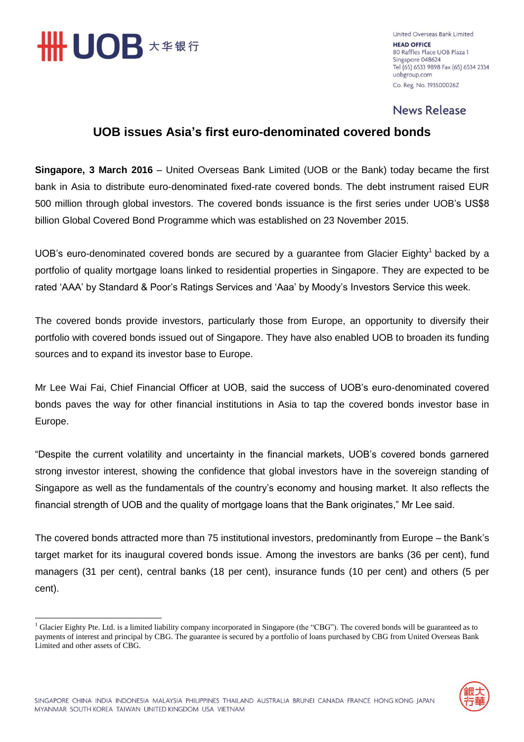

 $\overline{a}$ 

United Overseas Bank Limited **HEAD OFFICE** 80 Raffles Place UOB Plaza 1 Singapore 048624 Tel (65) 6533 9898 Fax (65) 6534 2334 uobgroup.com Co. Reg. No. 193500026Z

### **News Release**

# **UOB issues Asia's first euro-denominated covered bonds**

**Singapore, 3 March 2016** – United Overseas Bank Limited (UOB or the Bank) today became the first bank in Asia to distribute euro-denominated fixed-rate covered bonds. The debt instrument raised EUR 500 million through global investors. The covered bonds issuance is the first series under UOB's US\$8 billion Global Covered Bond Programme which was established on 23 November 2015.

UOB's euro-denominated covered bonds are secured by a guarantee from Glacier Eighty<sup>1</sup> backed by a portfolio of quality mortgage loans linked to residential properties in Singapore. They are expected to be rated 'AAA' by Standard & Poor's Ratings Services and 'Aaa' by Moody's Investors Service this week.

The covered bonds provide investors, particularly those from Europe, an opportunity to diversify their portfolio with covered bonds issued out of Singapore. They have also enabled UOB to broaden its funding sources and to expand its investor base to Europe.

Mr Lee Wai Fai, Chief Financial Officer at UOB, said the success of UOB's euro-denominated covered bonds paves the way for other financial institutions in Asia to tap the covered bonds investor base in Europe.

"Despite the current volatility and uncertainty in the financial markets, UOB's covered bonds garnered strong investor interest, showing the confidence that global investors have in the sovereign standing of Singapore as well as the fundamentals of the country's economy and housing market. It also reflects the financial strength of UOB and the quality of mortgage loans that the Bank originates," Mr Lee said.

The covered bonds attracted more than 75 institutional investors, predominantly from Europe – the Bank's target market for its inaugural covered bonds issue. Among the investors are banks (36 per cent), fund managers (31 per cent), central banks (18 per cent), insurance funds (10 per cent) and others (5 per cent).

 $<sup>1</sup>$  Glacier Eighty Pte. Ltd. is a limited liability company incorporated in Singapore (the "CBG"). The covered bonds will be guaranteed as to</sup> payments of interest and principal by CBG. The guarantee is secured by a portfolio of loans purchased by CBG from United Overseas Bank Limited and other assets of CBG.

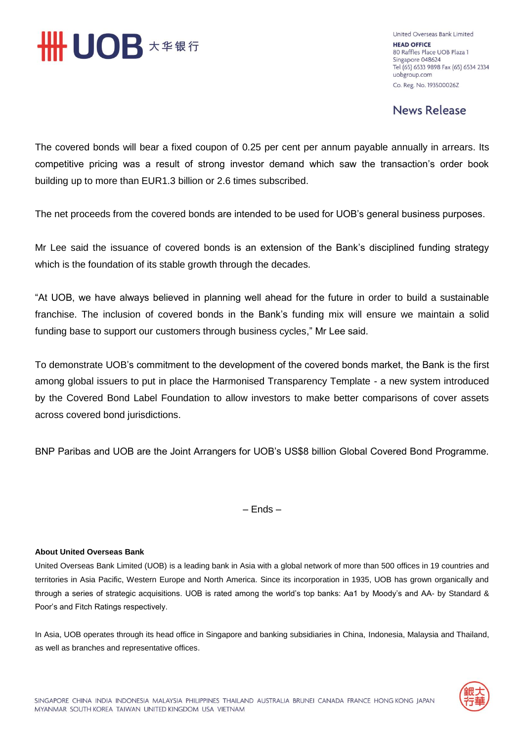

United Overseas Bank Limited **HEAD OFFICE** 80 Raffles Place UOB Plaza 1 Singapore 048624 Tel (65) 6533 9898 Fax (65) 6534 2334 uobgroup.com Co. Reg. No. 193500026Z

**News Release** 

The covered bonds will bear a fixed coupon of 0.25 per cent per annum payable annually in arrears. Its competitive pricing was a result of strong investor demand which saw the transaction's order book building up to more than EUR1.3 billion or 2.6 times subscribed.

The net proceeds from the covered bonds are intended to be used for UOB's general business purposes.

Mr Lee said the issuance of covered bonds is an extension of the Bank's disciplined funding strategy which is the foundation of its stable growth through the decades.

"At UOB, we have always believed in planning well ahead for the future in order to build a sustainable franchise. The inclusion of covered bonds in the Bank's funding mix will ensure we maintain a solid funding base to support our customers through business cycles," Mr Lee said.

To demonstrate UOB's commitment to the development of the covered bonds market, the Bank is the first among global issuers to put in place the Harmonised Transparency Template - a new system introduced by the Covered Bond Label Foundation to allow investors to make better comparisons of cover assets across covered bond jurisdictions.

BNP Paribas and UOB are the Joint Arrangers for UOB's US\$8 billion Global Covered Bond Programme.

– Ends –

### **About United Overseas Bank**

United Overseas Bank Limited (UOB) is a leading bank in Asia with a global network of more than 500 offices in 19 countries and territories in Asia Pacific, Western Europe and North America. Since its incorporation in 1935, UOB has grown organically and through a series of strategic acquisitions. UOB is rated among the world's top banks: Aa1 by Moody's and AA- by Standard & Poor's and Fitch Ratings respectively.

In Asia, UOB operates through its head office in Singapore and banking subsidiaries in China, Indonesia, Malaysia and Thailand, as well as branches and representative offices.